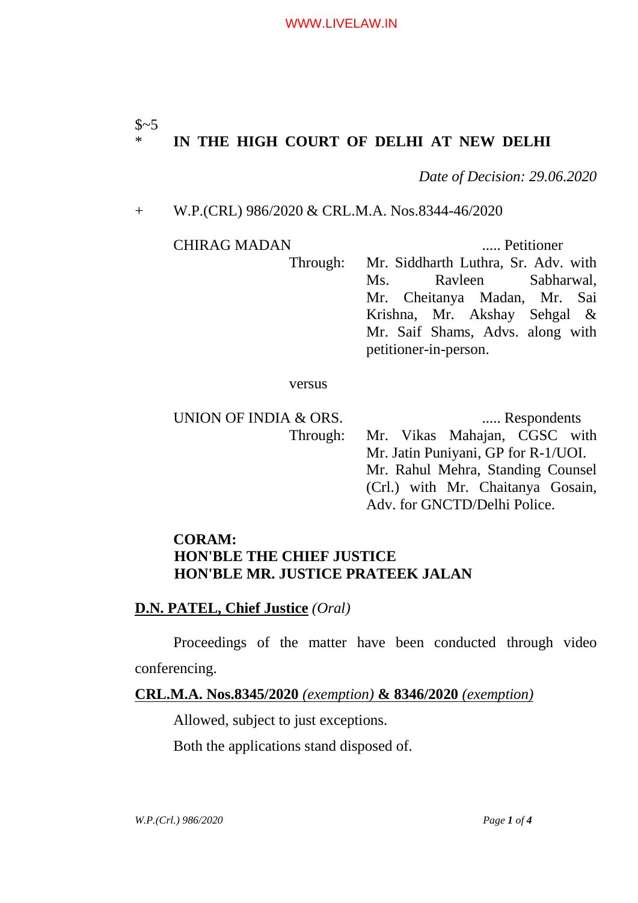# $$~5~$ \* **IN THE HIGH COURT OF DELHI AT NEW DELHI**

*Date of Decision: 29.06.2020*

(Crl.) with Mr. Chaitanya Gosain,

Adv. for GNCTD/Delhi Police.

### + W.P.(CRL) 986/2020 & CRL.M.A. Nos.8344-46/2020

CHIRAG MADAN ..... Petitioner Through: Mr. Siddharth Luthra, Sr. Adv. with Ms. Ravleen Sabharwal, Mr. Cheitanya Madan, Mr. Sai Krishna, Mr. Akshay Sehgal & Mr. Saif Shams, Advs. along with petitioner-in-person.

#### versus

UNION OF INDIA & ORS. ...... Respondents Through: Mr. Vikas Mahajan, CGSC with Mr. Jatin Puniyani, GP for R-1/UOI. Mr. Rahul Mehra, Standing Counsel

# **CORAM: HON'BLE THE CHIEF JUSTICE HON'BLE MR. JUSTICE PRATEEK JALAN**

## **D.N. PATEL, Chief Justice** *(Oral)*

Proceedings of the matter have been conducted through video conferencing.

### **CRL.M.A. Nos.8345/2020** *(exemption)* **& 8346/2020** *(exemption)*

Allowed, subject to just exceptions.

Both the applications stand disposed of.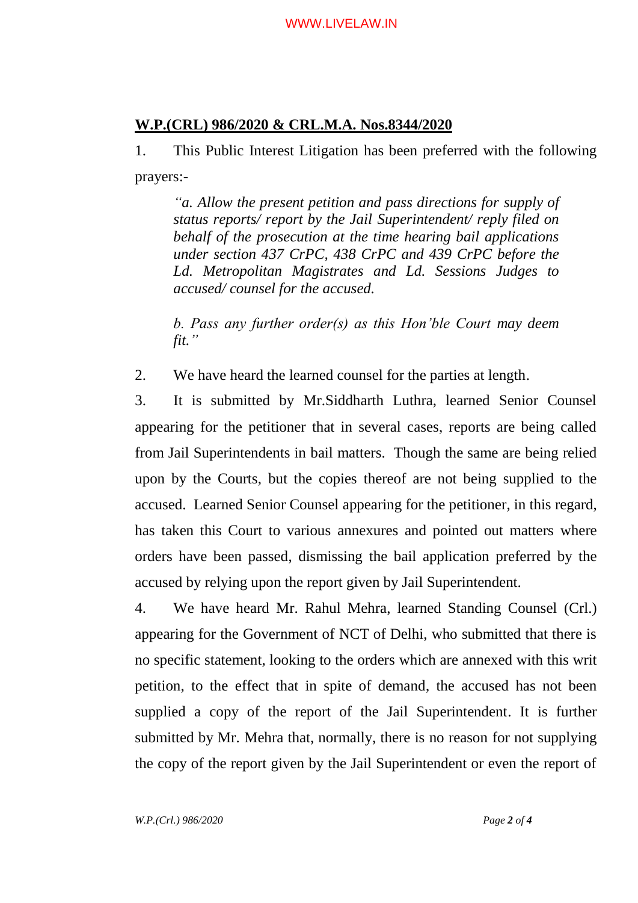# **W.P.(CRL) 986/2020 & CRL.M.A. Nos.8344/2020**

1. This Public Interest Litigation has been preferred with the following prayers:-

*"a. Allow the present petition and pass directions for supply of status reports/ report by the Jail Superintendent/ reply filed on behalf of the prosecution at the time hearing bail applications under section 437 CrPC, 438 CrPC and 439 CrPC before the Ld. Metropolitan Magistrates and Ld. Sessions Judges to accused/ counsel for the accused.*

*b. Pass any further order(s) as this Hon'ble Court may deem fit."*

2. We have heard the learned counsel for the parties at length.

3. It is submitted by Mr.Siddharth Luthra, learned Senior Counsel appearing for the petitioner that in several cases, reports are being called from Jail Superintendents in bail matters. Though the same are being relied upon by the Courts, but the copies thereof are not being supplied to the accused. Learned Senior Counsel appearing for the petitioner, in this regard, has taken this Court to various annexures and pointed out matters where orders have been passed, dismissing the bail application preferred by the accused by relying upon the report given by Jail Superintendent.

4. We have heard Mr. Rahul Mehra, learned Standing Counsel (Crl.) appearing for the Government of NCT of Delhi, who submitted that there is no specific statement, looking to the orders which are annexed with this writ petition, to the effect that in spite of demand, the accused has not been supplied a copy of the report of the Jail Superintendent. It is further submitted by Mr. Mehra that, normally, there is no reason for not supplying the copy of the report given by the Jail Superintendent or even the report of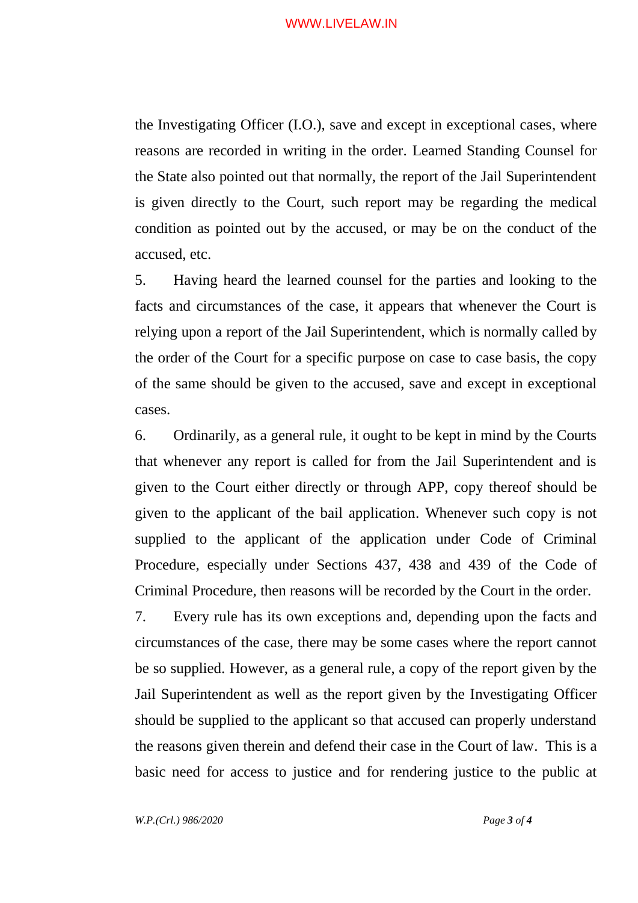#### WWW.LIVELAW.IN

the Investigating Officer (I.O.), save and except in exceptional cases, where reasons are recorded in writing in the order. Learned Standing Counsel for the State also pointed out that normally, the report of the Jail Superintendent is given directly to the Court, such report may be regarding the medical condition as pointed out by the accused, or may be on the conduct of the accused, etc.

5. Having heard the learned counsel for the parties and looking to the facts and circumstances of the case, it appears that whenever the Court is relying upon a report of the Jail Superintendent, which is normally called by the order of the Court for a specific purpose on case to case basis, the copy of the same should be given to the accused, save and except in exceptional cases.

6. Ordinarily, as a general rule, it ought to be kept in mind by the Courts that whenever any report is called for from the Jail Superintendent and is given to the Court either directly or through APP, copy thereof should be given to the applicant of the bail application. Whenever such copy is not supplied to the applicant of the application under Code of Criminal Procedure, especially under Sections 437, 438 and 439 of the Code of Criminal Procedure, then reasons will be recorded by the Court in the order.

7. Every rule has its own exceptions and, depending upon the facts and circumstances of the case, there may be some cases where the report cannot be so supplied. However, as a general rule, a copy of the report given by the Jail Superintendent as well as the report given by the Investigating Officer should be supplied to the applicant so that accused can properly understand the reasons given therein and defend their case in the Court of law. This is a basic need for access to justice and for rendering justice to the public at